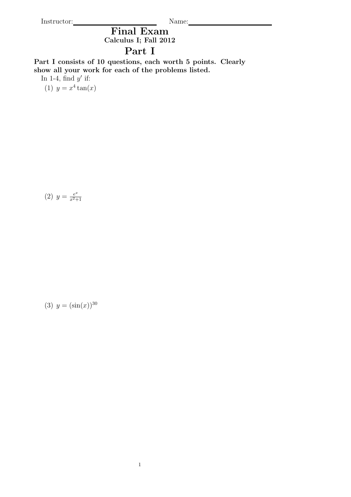Instructor: Name:

Final Exam Calculus I; Fall 2012

## Part I

Part I consists of 10 questions, each worth 5 points. Clearly show all your work for each of the problems listed.

In 1-4, find  $y'$  if:

(1)  $y = x^4 \tan(x)$ 

(2) 
$$
y = \frac{e^x}{x^2 + 1}
$$

(3)  $y = (\sin(x))^{30}$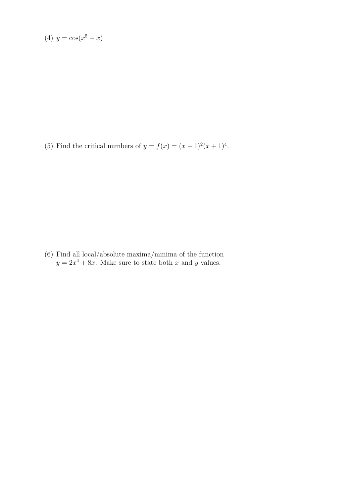(4) 
$$
y = cos(x^5 + x)
$$

(5) Find the critical numbers of  $y = f(x) = (x - 1)^2(x + 1)^4$ .

(6) Find all local/absolute maxima/minima of the function  $y = 2x^4 + 8x$ . Make sure to state both x and y values.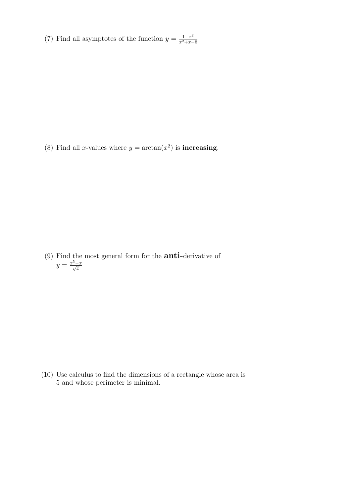(7) Find all asymptotes of the function  $y = \frac{1-x^2}{x^2+x}$  $x^2+x-6$ 

(8) Find all *x*-values where  $y = \arctan(x^2)$  is **increasing**.

(9) Find the most general form for the **anti-derivative** of  $y = \frac{x^5 - x}{\sqrt{x}}$  $\overline{x}$ 

(10) Use calculus to find the dimensions of a rectangle whose area is 5 and whose perimeter is minimal.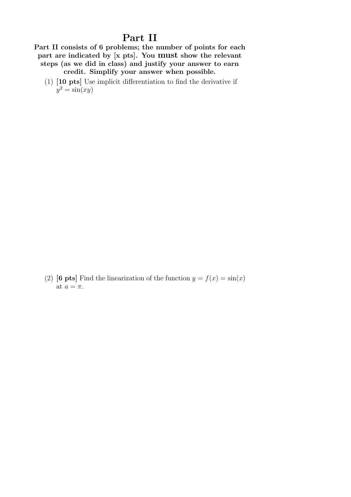## Part II

Part II consists of 6 problems; the number of points for each part are indicated by [x pts]. You must show the relevant steps (as we did in class) and justify your answer to earn credit. Simplify your answer when possible.

(1) [10 pts] Use implicit differentiation to find the derivative if  $y^2 = \sin(xy)$ 

(2) [6 pts] Find the linearization of the function  $y = f(x) = \sin(x)$ at  $a = \pi$ .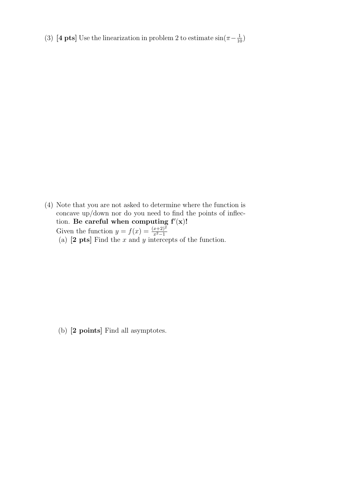(3) [4 pts] Use the linearization in problem 2 to estimate  $\sin(\pi - \frac{1}{10})$ 

(4) Note that you are not asked to determine where the function is concave up/down nor do you need to find the points of inflection. Be careful when computing  $f'(x)!$ Given the function  $y = f(x) = \frac{(x+2)^2}{x^2-1}$ (a)  $[2 \text{ pts}]$  Find the x and y intercepts of the function.

(b) [2 points] Find all asymptotes.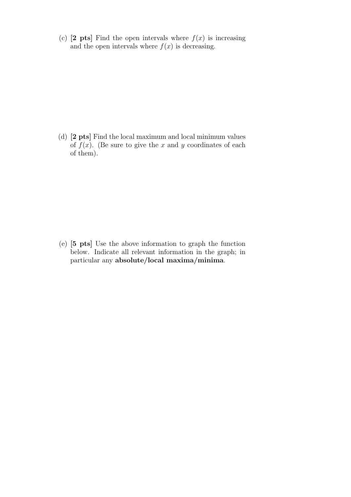(c)  $[2 \text{pts}]$  Find the open intervals where  $f(x)$  is increasing and the open intervals where  $f(x)$  is decreasing.

(d) [2 pts] Find the local maximum and local minimum values of  $f(x)$ . (Be sure to give the x and y coordinates of each of them).

(e) [5 pts] Use the above information to graph the function below. Indicate all relevant information in the graph; in particular any absolute/local maxima/minima.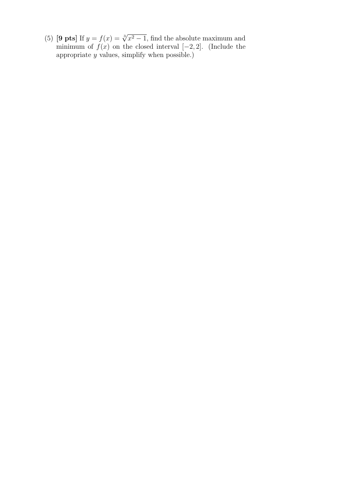(5) **[9 pts**] If  $y = f(x) = \sqrt[3]{x^2 - 1}$ , find the absolute maximum and minimum of  $f(x)$  on the closed interval  $[-2, 2]$ . (Include the appropriate  $y$  values, simplify when possible.)